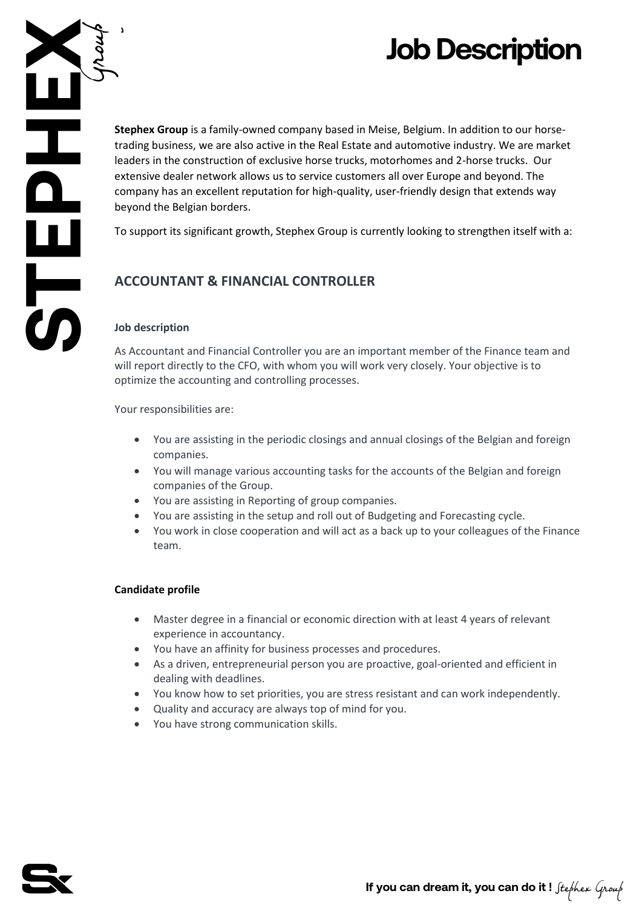# **Job Description**

**SPECIES** 

**Stephex Group** is a family-owned company based in Meise, Belgium. In addition to our horsetrading business, we are also active in the Real Estate and automotive industry. We are market leaders in the construction of exclusive horse trucks, motorhomes and 2-horse trucks. Our extensive dealer network allows us to service customers all over Europe and beyond. The company has an excellent reputation for high-quality, user-friendly design that extends way beyond the Belgian borders.

To support its significant growth, Stephex Group is currently looking to strengthen itself with a:

## **ACCOUNTANT & FINANCIAL CONTROLLER**

### **Job description**

As Accountant and Financial Controller you are an important member of the Finance team and will report directly to the CFO, with whom you will work very closely. Your objective is to optimize the accounting and controlling processes.

Your responsibilities are:

- You are assisting in the periodic closings and annual closings of the Belgian and foreign companies.
- You will manage various accounting tasks for the accounts of the Belgian and foreign companies of the Group.
- You are assisting in Reporting of group companies.
- You are assisting in the setup and roll out of Budgeting and Forecasting cycle.
- You work in close cooperation and will act as a back up to your colleagues of the Finance team.

#### **Candidate profile**

- Master degree in a financial or economic direction with at least 4 years of relevant experience in accountancy.
- You have an affinity for business processes and procedures.
- As a driven, entrepreneurial person you are proactive, goal-oriented and efficient in dealing with deadlines.
- You know how to set priorities, you are stress resistant and can work independently.
- Quality and accuracy are always top of mind for you.
- You have strong communication skills.